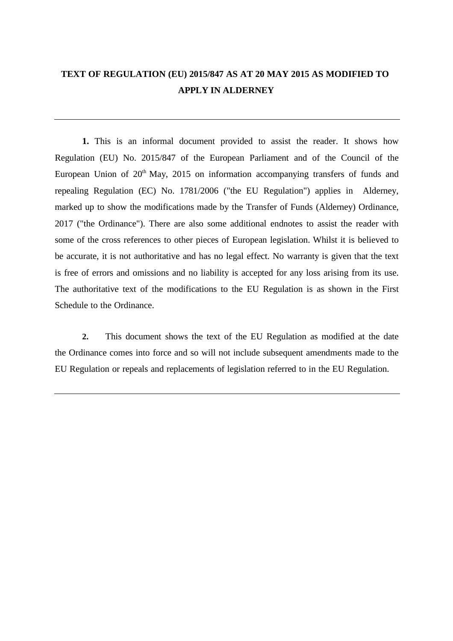# **TEXT OF REGULATION (EU) 2015/847 AS AT 20 MAY 2015 AS MODIFIED TO APPLY IN ALDERNEY**

**1.** This is an informal document provided to assist the reader. It shows how Regulation (EU) No. 2015/847 of the European Parliament and of the Council of the European Union of  $20<sup>th</sup>$  May,  $2015$  on information accompanying transfers of funds and repealing Regulation (EC) No. 1781/2006 ("the EU Regulation") applies in Alderney, marked up to show the modifications made by the Transfer of Funds (Alderney) Ordinance, 2017 ("the Ordinance"). There are also some additional endnotes to assist the reader with some of the cross references to other pieces of European legislation. Whilst it is believed to be accurate, it is not authoritative and has no legal effect. No warranty is given that the text is free of errors and omissions and no liability is accepted for any loss arising from its use. The authoritative text of the modifications to the EU Regulation is as shown in the First Schedule to the Ordinance.

**2.** This document shows the text of the EU Regulation as modified at the date the Ordinance comes into force and so will not include subsequent amendments made to the EU Regulation or repeals and replacements of legislation referred to in the EU Regulation.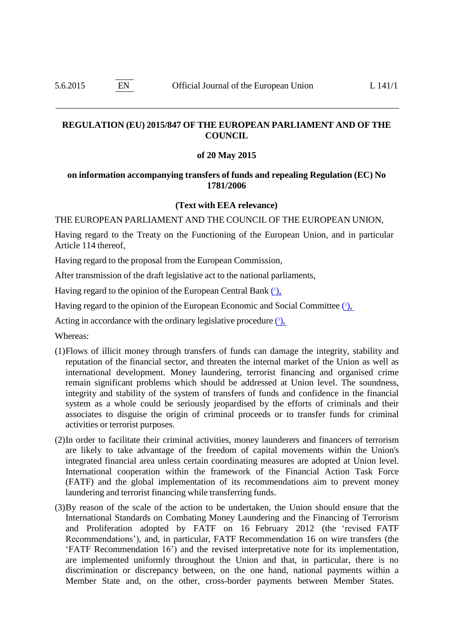### **REGULATION (EU) 2015/847 OF THE EUROPEAN PARLIAMENT AND OF THE COUNCIL**

#### **of 20 May 2015**

#### **on information accompanying transfers of funds and repealing Regulation (EC) No 1781/2006**

#### **(Text with EEA relevance)**

#### THE EUROPEAN PARLIAMENT AND THE COUNCIL OF THE EUROPEAN UNION,

Having regard to the Treaty on the Functioning of the European Union, and in particular Article 114 thereof,

Having regard to the proposal from the European Commission,

After transmission of the draft legislative act to the national parliaments,

Having regard to the opinion of the European Central Bank (1),

Having regard to the opinion of the European Economic and Social Committee (2),

Acting in accordance with the ordinary legislative procedure (3),

Whereas:

- (1)Flows of illicit money through transfers of funds can damage the integrity, stability and reputation of the financial sector, and threaten the internal market of the Union as well as international development. Money laundering, terrorist financing and organised crime remain significant problems which should be addressed at Union level. The soundness, integrity and stability of the system of transfers of funds and confidence in the financial system as a whole could be seriously jeopardised by the efforts of criminals and their associates to disguise the origin of criminal proceeds or to transfer funds for criminal activities or terrorist purposes.
- (2)In order to facilitate their criminal activities, money launderers and financers of terrorism are likely to take advantage of the freedom of capital movements within the Union's integrated financial area unless certain coordinating measures are adopted at Union level. International cooperation within the framework of the Financial Action Task Force (FATF) and the global implementation of its recommendations aim to prevent money laundering and terrorist financing while transferring funds.
- (3)By reason of the scale of the action to be undertaken, the Union should ensure that the International Standards on Combating Money Laundering and the Financing of Terrorism and Proliferation adopted by FATF on 16 February 2012 (the 'revised FATF Recommendations'), and, in particular, FATF Recommendation 16 on wire transfers (the 'FATF Recommendation 16') and the revised interpretative note for its implementation, are implemented uniformly throughout the Union and that, in particular, there is no discrimination or discrepancy between, on the one hand, national payments within a Member State and, on the other, cross-border payments between Member States.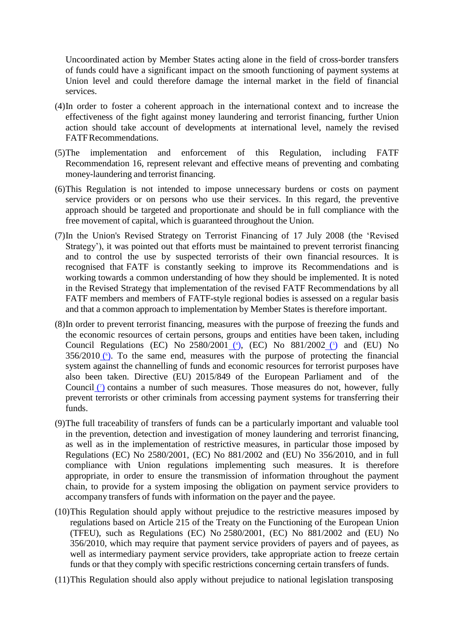Uncoordinated action by Member States acting alone in the field of cross-border transfers of funds could have a significant impact on the smooth functioning of payment systems at Union level and could therefore damage the internal market in the field of financial services.

- (4)In order to foster a coherent approach in the international context and to increase the effectiveness of the fight against money laundering and terrorist financing, further Union action should take account of developments at international level, namely the revised FATFRecommendations.
- (5)The implementation and enforcement of this Regulation, including FATF Recommendation 16, represent relevant and effective means of preventing and combating money-laundering and terrorist financing.
- (6)This Regulation is not intended to impose unnecessary burdens or costs on payment service providers or on persons who use their services. In this regard, the preventive approach should be targeted and proportionate and should be in full compliance with the free movement of capital, which is guaranteed throughout the Union.
- (7)In the Union's Revised Strategy on Terrorist Financing of 17 July 2008 (the 'Revised Strategy'), it was pointed out that efforts must be maintained to prevent terrorist financing and to control the use by suspected terrorists of their own financial resources. It is recognised that FATF is constantly seeking to improve its Recommendations and is working towards a common understanding of how they should be implemented. It is noted in the Revised Strategy that implementation of the revised FATF Recommendations by all FATF members and members of FATF-style regional bodies is assessed on a regular basis and that a common approach to implementation by Member States is therefore important.
- (8)In order to prevent terrorist financing, measures with the purpose of freezing the funds and the economic resources of certain persons, groups and entities have been taken, including Council Regulations (EC) No  $2580/2001$  ( $\rightarrow$ ), (EC) No  $881/2002$  ( $\rightarrow$ ) and (EU) No  $356/2010$   $\circ$ . To the same end, measures with the purpose of protecting the financial system against the channelling of funds and economic resources for terrorist purposes have also been taken. Directive (EU) 2015/849 of the European Parliament and of the Council (*1*) contains a number of such measures. Those measures do not, however, fully prevent terrorists or other criminals from accessing payment systems for transferring their funds.
- (9)The full traceability of transfers of funds can be a particularly important and valuable tool in the prevention, detection and investigation of money laundering and terrorist financing, as well as in the implementation of restrictive measures, in particular those imposed by Regulations (EC) No 2580/2001, (EC) No 881/2002 and (EU) No 356/2010, and in full compliance with Union regulations implementing such measures. It is therefore appropriate, in order to ensure the transmission of information throughout the payment chain, to provide for a system imposing the obligation on payment service providers to accompany transfers of funds with information on the payer and the payee.
- (10)This Regulation should apply without prejudice to the restrictive measures imposed by regulations based on Article 215 of the Treaty on the Functioning of the European Union (TFEU), such as Regulations (EC) No 2580/2001, (EC) No 881/2002 and (EU) No 356/2010, which may require that payment service providers of payers and of payees, as well as intermediary payment service providers, take appropriate action to freeze certain funds or that they comply with specific restrictions concerning certain transfers of funds.
- (11)This Regulation should also apply without prejudice to national legislation transposing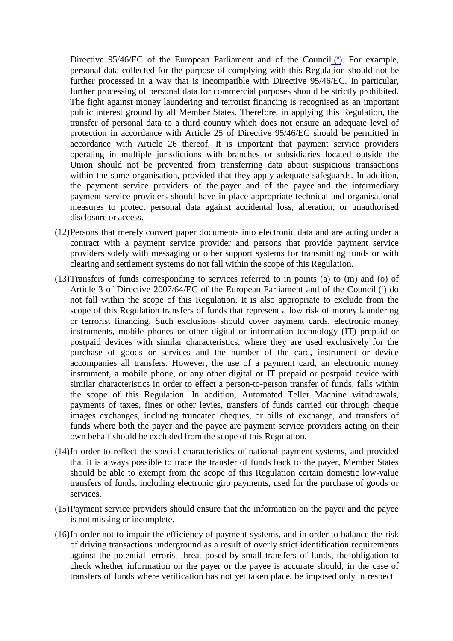Directive 95/46/EC of the European Parliament and of the Council (8). For example, personal data collected for the purpose of complying with this Regulation should not be further processed in a way that is incompatible with Directive 95/46/EC. In particular, further processing of personal data for commercial purposes should be strictly prohibited. The fight against money laundering and terrorist financing is recognised as an important public interest ground by all Member States. Therefore, in applying this Regulation, the transfer of personal data to a third country which does not ensure an adequate level of protection in accordance with Article 25 of Directive 95/46/EC should be permitted in accordance with Article 26 thereof. It is important that payment service providers operating in multiple jurisdictions with branches or subsidiaries located outside the Union should not be prevented from transferring data about suspicious transactions within the same organisation, provided that they apply adequate safeguards. In addition, the payment service providers of the payer and of the payee and the intermediary payment service providers should have in place appropriate technical and organisational measures to protect personal data against accidental loss, alteration, or unauthorised disclosure or access.

- (12)Persons that merely convert paper documents into electronic data and are acting under a contract with a payment service provider and persons that provide payment service providers solely with messaging or other support systems for transmitting funds or with clearing and settlement systems do not fall within the scope of this Regulation.
- (13)Transfers of funds corresponding to services referred to in points (a) to (m) and (o) of Article 3 of Directive 2007/64/EC of the European Parliament and of the Council (<sup>o</sup>) do not fall within the scope of this Regulation. It is also appropriate to exclude from the scope of this Regulation transfers of funds that represent a low risk of money laundering or terrorist financing. Such exclusions should cover payment cards, electronic money instruments, mobile phones or other digital or information technology (IT) prepaid or postpaid devices with similar characteristics, where they are used exclusively for the purchase of goods or services and the number of the card, instrument or device accompanies all transfers. However, the use of a payment card, an electronic money instrument, a mobile phone, or any other digital or IT prepaid or postpaid device with similar characteristics in order to effect a person-to-person transfer of funds, falls within the scope of this Regulation. In addition, Automated Teller Machine withdrawals, payments of taxes, fines or other levies, transfers of funds carried out through cheque images exchanges, including truncated cheques, or bills of exchange, and transfers of funds where both the payer and the payee are payment service providers acting on their own behalf should be excluded from the scope of this Regulation.
- (14)In order to reflect the special characteristics of national payment systems, and provided that it is always possible to trace the transfer of funds back to the payer, Member States should be able to exempt from the scope of this Regulation certain domestic low-value transfers of funds, including electronic giro payments, used for the purchase of goods or services.
- (15)Payment service providers should ensure that the information on the payer and the payee is not missing or incomplete.
- (16)In order not to impair the efficiency of payment systems, and in order to balance the risk of driving transactions underground as a result of overly strict identification requirements against the potential terrorist threat posed by small transfers of funds, the obligation to check whether information on the payer or the payee is accurate should, in the case of transfers of funds where verification has not yet taken place, be imposed only in respect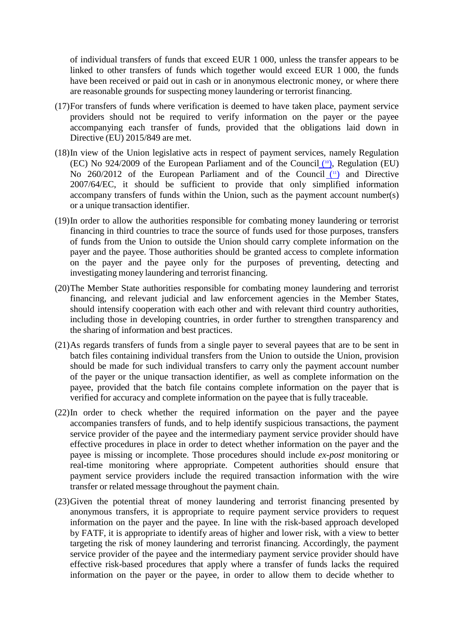of individual transfers of funds that exceed EUR 1 000, unless the transfer appears to be linked to other transfers of funds which together would exceed EUR 1 000, the funds have been received or paid out in cash or in anonymous electronic money, or where there are reasonable grounds for suspecting money laundering or terrorist financing.

- (17)For transfers of funds where verification is deemed to have taken place, payment service providers should not be required to verify information on the payer or the payee accompanying each transfer of funds, provided that the obligations laid down in Directive (EU) 2015/849 are met.
- (18)In view of the Union legislative acts in respect of payment services, namely Regulation (EC) No 924/2009 of the European Parliament and of the Council  $(10)$ , Regulation (EU) No 260/2012 of the European Parliament and of the Council (11) and Directive 2007/64/EC, it should be sufficient to provide that only simplified information accompany transfers of funds within the Union, such as the payment account number(s) or a unique transaction identifier.
- (19)In order to allow the authorities responsible for combating money laundering or terrorist financing in third countries to trace the source of funds used for those purposes, transfers of funds from the Union to outside the Union should carry complete information on the payer and the payee. Those authorities should be granted access to complete information on the payer and the payee only for the purposes of preventing, detecting and investigating money laundering and terrorist financing.
- (20)The Member State authorities responsible for combating money laundering and terrorist financing, and relevant judicial and law enforcement agencies in the Member States, should intensify cooperation with each other and with relevant third country authorities, including those in developing countries, in order further to strengthen transparency and the sharing of information and best practices.
- (21)As regards transfers of funds from a single payer to several payees that are to be sent in batch files containing individual transfers from the Union to outside the Union, provision should be made for such individual transfers to carry only the payment account number of the payer or the unique transaction identifier, as well as complete information on the payee, provided that the batch file contains complete information on the payer that is verified for accuracy and complete information on the payee that is fully traceable.
- (22)In order to check whether the required information on the payer and the payee accompanies transfers of funds, and to help identify suspicious transactions, the payment service provider of the payee and the intermediary payment service provider should have effective procedures in place in order to detect whether information on the payer and the payee is missing or incomplete. Those procedures should include *ex-post* monitoring or real-time monitoring where appropriate. Competent authorities should ensure that payment service providers include the required transaction information with the wire transfer or related message throughout the payment chain.
- (23)Given the potential threat of money laundering and terrorist financing presented by anonymous transfers, it is appropriate to require payment service providers to request information on the payer and the payee. In line with the risk-based approach developed by FATF, it is appropriate to identify areas of higher and lower risk, with a view to better targeting the risk of money laundering and terrorist financing. Accordingly, the payment service provider of the payee and the intermediary payment service provider should have effective risk-based procedures that apply where a transfer of funds lacks the required information on the payer or the payee, in order to allow them to decide whether to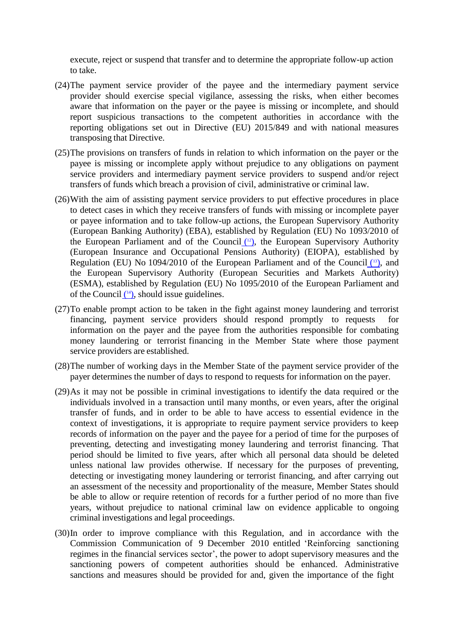execute, reject or suspend that transfer and to determine the appropriate follow-up action to take.

- (24)The payment service provider of the payee and the intermediary payment service provider should exercise special vigilance, assessing the risks, when either becomes aware that information on the payer or the payee is missing or incomplete, and should report suspicious transactions to the competent authorities in accordance with the reporting obligations set out in Directive (EU) 2015/849 and with national measures transposing that Directive.
- (25)The provisions on transfers of funds in relation to which information on the payer or the payee is missing or incomplete apply without prejudice to any obligations on payment service providers and intermediary payment service providers to suspend and/or reject transfers of funds which breach a provision of civil, administrative or criminal law.
- (26)With the aim of assisting payment service providers to put effective procedures in place to detect cases in which they receive transfers of funds with missing or incomplete payer or payee information and to take follow-up actions, the European Supervisory Authority (European Banking Authority) (EBA), established by Regulation (EU) No 1093/2010 of the European Parliament and of the Council (<sup>12</sup>), the European Supervisory Authority (European Insurance and Occupational Pensions Authority) (EIOPA), established by Regulation (EU) No 1094/2010 of the European Parliament and of the Council (13), and the European Supervisory Authority (European Securities and Markets Authority) (ESMA), established by Regulation (EU) No 1095/2010 of the European Parliament and of the Council  $(14)$ , should issue guidelines.
- (27)To enable prompt action to be taken in the fight against money laundering and terrorist financing, payment service providers should respond promptly to requests for information on the payer and the payee from the authorities responsible for combating money laundering or terrorist financing in the Member State where those payment service providers are established.
- (28)The number of working days in the Member State of the payment service provider of the payer determines the number of days to respond to requests for information on the payer.
- (29)As it may not be possible in criminal investigations to identify the data required or the individuals involved in a transaction until many months, or even years, after the original transfer of funds, and in order to be able to have access to essential evidence in the context of investigations, it is appropriate to require payment service providers to keep records of information on the payer and the payee for a period of time for the purposes of preventing, detecting and investigating money laundering and terrorist financing. That period should be limited to five years, after which all personal data should be deleted unless national law provides otherwise. If necessary for the purposes of preventing, detecting or investigating money laundering or terrorist financing, and after carrying out an assessment of the necessity and proportionality of the measure, Member States should be able to allow or require retention of records for a further period of no more than five years, without prejudice to national criminal law on evidence applicable to ongoing criminal investigations and legal proceedings.
- (30)In order to improve compliance with this Regulation, and in accordance with the Commission Communication of 9 December 2010 entitled 'Reinforcing sanctioning regimes in the financial services sector', the power to adopt supervisory measures and the sanctioning powers of competent authorities should be enhanced. Administrative sanctions and measures should be provided for and, given the importance of the fight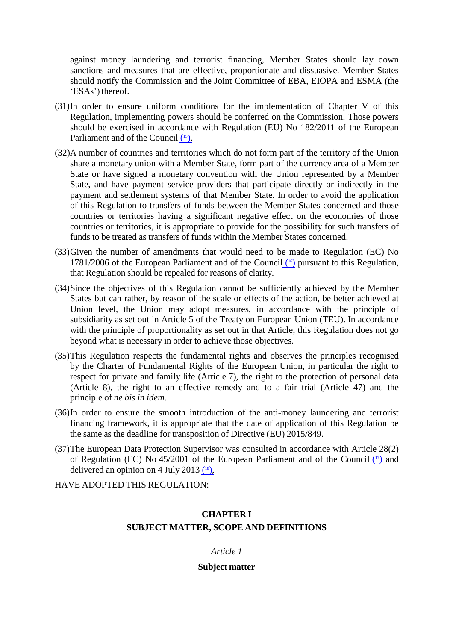against money laundering and terrorist financing, Member States should lay down sanctions and measures that are effective, proportionate and dissuasive. Member States should notify the Commission and the Joint Committee of EBA, EIOPA and ESMA (the 'ESAs') thereof.

- (31)In order to ensure uniform conditions for the implementation of Chapter V of this Regulation, implementing powers should be conferred on the Commission. Those powers should be exercised in accordance with Regulation (EU) No 182/2011 of the European Parliament and of the Council (<sup>15</sup>).
- (32)A number of countries and territories which do not form part of the territory of the Union share a monetary union with a Member State, form part of the currency area of a Member State or have signed a monetary convention with the Union represented by a Member State, and have payment service providers that participate directly or indirectly in the payment and settlement systems of that Member State. In order to avoid the application of this Regulation to transfers of funds between the Member States concerned and those countries or territories having a significant negative effect on the economies of those countries or territories, it is appropriate to provide for the possibility for such transfers of funds to be treated as transfers of funds within the Member States concerned.
- (33)Given the number of amendments that would need to be made to Regulation (EC) No 1781/2006 of the European Parliament and of the Council  $(16)$  pursuant to this Regulation, that Regulation should be repealed for reasons of clarity.
- (34)Since the objectives of this Regulation cannot be sufficiently achieved by the Member States but can rather, by reason of the scale or effects of the action, be better achieved at Union level, the Union may adopt measures, in accordance with the principle of subsidiarity as set out in Article 5 of the Treaty on European Union (TEU). In accordance with the principle of proportionality as set out in that Article, this Regulation does not go beyond what is necessary in order to achieve those objectives.
- (35)This Regulation respects the fundamental rights and observes the principles recognised by the Charter of Fundamental Rights of the European Union, in particular the right to respect for private and family life (Article 7), the right to the protection of personal data (Article 8), the right to an effective remedy and to a fair trial (Article 47) and the principle of *ne bis in idem*.
- (36)In order to ensure the smooth introduction of the anti-money laundering and terrorist financing framework, it is appropriate that the date of application of this Regulation be the same as the deadline for transposition of Directive (EU) 2015/849.
- (37)The European Data Protection Supervisor was consulted in accordance with Article 28(2) of Regulation (EC) No 45/2001 of the European Parliament and of the Council (<sup>17</sup>) and delivered an opinion on 4 July 2013  $(18)$ ,

HAVE ADOPTED THIS REGULATION:

# **CHAPTER I SUBJECT MATTER, SCOPE AND DEFINITIONS**

#### *Article 1*

### **Subject matter**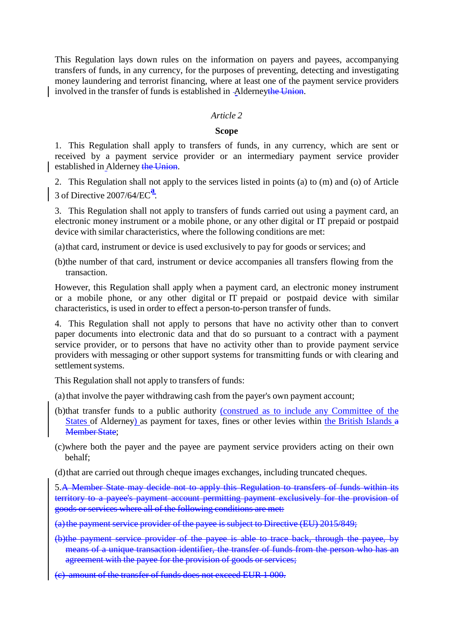This Regulation lays down rules on the information on payers and payees, accompanying transfers of funds, in any currency, for the purposes of preventing, detecting and investigating money laundering and terrorist financing, where at least one of the payment service providers involved in the transfer of funds is established in Alderneythe Union.

### *Article 2*

#### **Scope**

1. This Regulation shall apply to transfers of funds, in any currency, which are sent or received by a payment service provider or an intermediary payment service provider established in Alderney the Union.

2. This Regulation shall not apply to the services listed in points (a) to (m) and (o) of Article <sup>3</sup> of Directive 2007/64/EC**<sup>a</sup>** .

3. This Regulation shall not apply to transfers of funds carried out using a payment card, an electronic money instrument or a mobile phone, or any other digital or IT prepaid or postpaid device with similar characteristics, where the following conditions are met:

(a)that card, instrument or device is used exclusively to pay for goods or services; and

(b)the number of that card, instrument or device accompanies all transfers flowing from the transaction.

However, this Regulation shall apply when a payment card, an electronic money instrument or a mobile phone, or any other digital or IT prepaid or postpaid device with similar characteristics, is used in order to effect a person-to-person transfer of funds.

4. This Regulation shall not apply to persons that have no activity other than to convert paper documents into electronic data and that do so pursuant to a contract with a payment service provider, or to persons that have no activity other than to provide payment service providers with messaging or other support systems for transmitting funds or with clearing and settlement systems.

This Regulation shall not apply to transfers of funds:

- (a) that involve the payer withdrawing cash from the payer's own payment account;
- (b)that transfer funds to a public authority (construed as to include any Committee of the States of Alderney) as payment for taxes, fines or other levies within the British Islands a Member State;

(c)where both the payer and the payee are payment service providers acting on their own behalf;

(d)that are carried out through cheque images exchanges, including truncated cheques.

5.A Member State may decide not to apply this Regulation to transfers of funds within its territory to a payee's payment account permitting payment exclusively for the provision of goods or services where all of the following conditions are met:

(a)the payment service provider of the payee is subject to Directive (EU) 2015/849;

(b)the payment service provider of the payee is able to trace back, through the payee, by means of a unique transaction identifier, the transfer of funds from the person who has an agreement with the payee for the provision of goods or services;

(c) amount of the transfer of funds does not exceed EUR 1 000.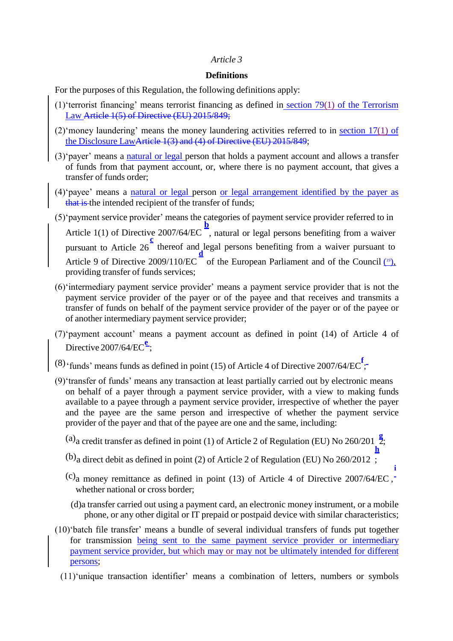### *Article 3*

### **Definitions**

For the purposes of this Regulation, the following definitions apply:

- (1)'terrorist financing' means terrorist financing as defined in section 79(1) of the Terrorism Law Article 1(5) of Directive (EU) 2015/849;
- (2)'money laundering' means the money laundering activities referred to in section 17(1) of the Disclosure LawArticle 1(3) and (4) of Directive (EU) 2015/849;
- (3)'payer' means a natural or legal person that holds a payment account and allows a transfer of funds from that payment account, or, where there is no payment account, that gives a transfer of funds order;
- (4)'payee' means a natural or legal person or legal arrangement identified by the payer as that is the intended recipient of the transfer of funds;
- (5)'payment service provider' means the categories of payment service provider referred to in

**b** Article 1(1) of Directive 2007/64/EC , natural or legal persons benefiting from a waiver **c** pursuant to Article 26<sup>-</sup> thereof and legal persons benefiting from a waiver pursuant to **d** Article 9 of Directive 2009/110/EC of the European Parliament and of the Council (19), providing transfer of funds services;

- (6)'intermediary payment service provider' means a payment service provider that is not the payment service provider of the payer or of the payee and that receives and transmits a transfer of funds on behalf of the payment service provider of the payer or of the payee or of another intermediary payment service provider;
- Directive  $2007/64/EC^{\text{e}}$ ; (7)'payment account' means a payment account as defined in point (14) of Article 4 of
- (8)  $\cdot$  funds' means funds as defined in point (15) of Article 4 of Directive 2007/64/EC<sup>f</sup>;
- (9)'transfer of funds' means any transaction at least partially carried out by electronic means on behalf of a payer through a payment service provider, with a view to making funds available to a payee through a payment service provider, irrespective of whether the payer and the payee are the same person and irrespective of whether the payment service provider of the payer and that of the payee are one and the same, including:
	- 2 (a)a credit transfer as defined in point (1) of Article <sup>2</sup> of Regulation (EU) No 260/201 **<sup>g</sup>** ; **h**
	- $(b)$ <sub>a</sub> direct debit as defined in point (2) of Article 2 of Regulation (EU) No 260/2012 ;
	- $(c)<sub>a</sub>$  money remittance as defined in point (13) of Article 4 of Directive 2007/64/EC  $\cdot$ whether national or cross border;

**i**

- (d)a transfer carried out using a payment card, an electronic money instrument, or a mobile phone, or any other digital or IT prepaid or postpaid device with similar characteristics;
- (10)'batch file transfer' means a bundle of several individual transfers of funds put together for transmission being sent to the same payment service provider or intermediary payment service provider, but which may or may not be ultimately intended for different persons;
	- (11)'unique transaction identifier' means a combination of letters, numbers or symbols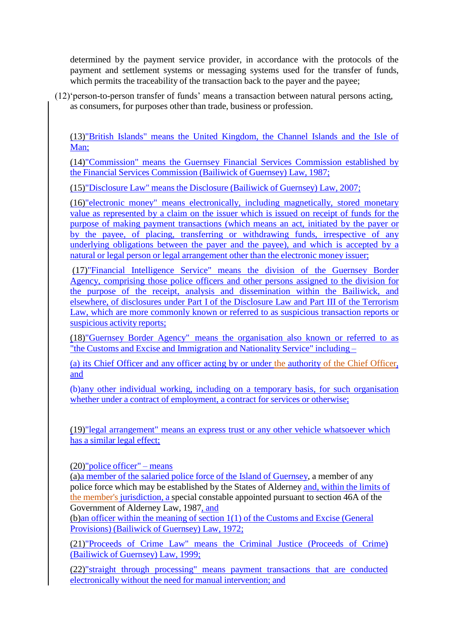determined by the payment service provider, in accordance with the protocols of the payment and settlement systems or messaging systems used for the transfer of funds, which permits the traceability of the transaction back to the payer and the payee;

(12)'person-to-person transfer of funds' means a transaction between natural persons acting, as consumers, for purposes other than trade, business or profession.

(13)"British Islands" means the United Kingdom, the Channel Islands and the Isle of Man;

(14)"Commission" means the Guernsey Financial Services Commission established by the Financial Services Commission (Bailiwick of Guernsey) Law, 1987;

(15)"Disclosure Law" means the Disclosure (Bailiwick of Guernsey) Law, 2007;

(16)"electronic money" means electronically, including magnetically, stored monetary value as represented by a claim on the issuer which is issued on receipt of funds for the purpose of making payment transactions (which means an act, initiated by the payer or by the payee, of placing, transferring or withdrawing funds, irrespective of any underlying obligations between the payer and the payee), and which is accepted by a natural or legal person or legal arrangement other than the electronic money issuer;

(17)"Financial Intelligence Service" means the division of the Guernsey Border Agency, comprising those police officers and other persons assigned to the division for the purpose of the receipt, analysis and dissemination within the Bailiwick, and elsewhere, of disclosures under Part I of the Disclosure Law and Part III of the Terrorism Law, which are more commonly known or referred to as suspicious transaction reports or suspicious activity reports;

(18)"Guernsey Border Agency" means the organisation also known or referred to as "the Customs and Excise and Immigration and Nationality Service" including –

(a) its Chief Officer and any officer acting by or under the authority of the Chief Officer, and

(b)any other individual working, including on a temporary basis, for such organisation whether under a contract of employment, a contract for services or otherwise;

(19)"legal arrangement" means an express trust or any other vehicle whatsoever which has a similar legal effect;

(20)"police officer" – means

(a)a member of the salaried police force of the Island of Guernsey, a member of any police force which may be established by the States of Alderney and, within the limits of the member's jurisdiction, a special constable appointed pursuant to section 46A of the Government of Alderney Law, 1987, and

(b)an officer within the meaning of section 1(1) of the Customs and Excise (General Provisions) (Bailiwick of Guernsey) Law, 1972;

(21)"Proceeds of Crime Law" means the Criminal Justice (Proceeds of Crime) (Bailiwick of Guernsey) Law, 1999;

(22)"straight through processing" means payment transactions that are conducted electronically without the need for manual intervention; and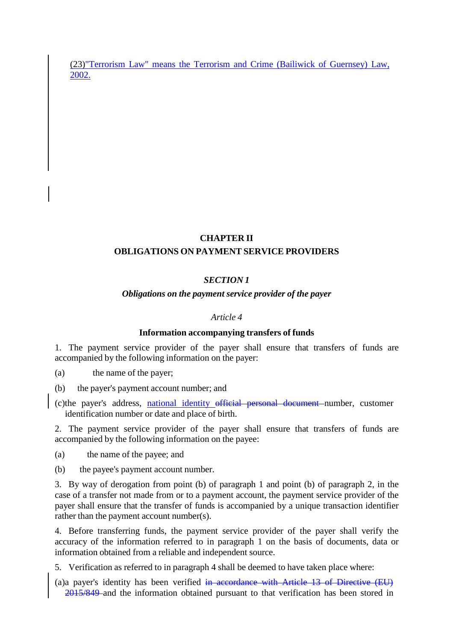(23)"Terrorism Law" means the Terrorism and Crime (Bailiwick of Guernsey) Law, 2002.

# **CHAPTER II OBLIGATIONS ON PAYMENT SERVICE PROVIDERS**

## *SECTION 1*

### *Obligations on the payment service provider of the payer*

### *Article 4*

### **Information accompanying transfers of funds**

1. The payment service provider of the payer shall ensure that transfers of funds are accompanied by the following information on the payer:

(a) the name of the payer;

(b) the payer's payment account number; and

(c)the payer's address, national identity official personal document number, customer identification number or date and place of birth.

2. The payment service provider of the payer shall ensure that transfers of funds are accompanied by the following information on the payee:

(a) the name of the payee; and

(b) the payee's payment account number.

3. By way of derogation from point (b) of paragraph 1 and point (b) of paragraph 2, in the case of a transfer not made from or to a payment account, the payment service provider of the payer shall ensure that the transfer of funds is accompanied by a unique transaction identifier rather than the payment account number(s).

4. Before transferring funds, the payment service provider of the payer shall verify the accuracy of the information referred to in paragraph 1 on the basis of documents, data or information obtained from a reliable and independent source.

5. Verification as referred to in paragraph 4 shall be deemed to have taken place where:

(a)a payer's identity has been verified  $\frac{1}{2}$  in accordance with Article 13 of Directive (EU) 2015/849 and the information obtained pursuant to that verification has been stored in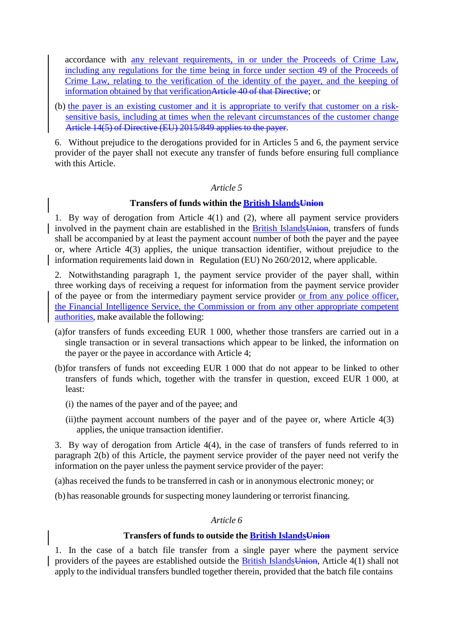accordance with any relevant requirements, in or under the Proceeds of Crime Law, including any regulations for the time being in force under section 49 of the Proceeds of Crime Law, relating to the verification of the identity of the payer, and the keeping of information obtained by that verificationArticle 40 of that Directive; or

(b) the payer is an existing customer and it is appropriate to verify that customer on a risksensitive basis, including at times when the relevant circumstances of the customer change Article 14(5) of Directive (EU) 2015/849 applies to the payer.

6. Without prejudice to the derogations provided for in Articles 5 and 6, the payment service provider of the payer shall not execute any transfer of funds before ensuring full compliance with this Article.

### *Article 5*

### **Transfers of funds within the British IslandsUnion**

1. By way of derogation from Article 4(1) and (2), where all payment service providers involved in the payment chain are established in the British IslandsUnion, transfers of funds shall be accompanied by at least the payment account number of both the payer and the payee or, where Article 4(3) applies, the unique transaction identifier, without prejudice to the information requirements laid down in Regulation (EU) No 260/2012, where applicable.

2. Notwithstanding paragraph 1, the payment service provider of the payer shall, within three working days of receiving a request for information from the payment service provider of the payee or from the intermediary payment service provider or from any police officer, the Financial Intelligence Service, the Commission or from any other appropriate competent authorities, make available the following:

- (a)for transfers of funds exceeding EUR 1 000, whether those transfers are carried out in a single transaction or in several transactions which appear to be linked, the information on the payer or the payee in accordance with Article 4;
- (b)for transfers of funds not exceeding EUR 1 000 that do not appear to be linked to other transfers of funds which, together with the transfer in question, exceed EUR 1 000, at least:
	- (i) the names of the payer and of the payee; and
	- (ii)the payment account numbers of the payer and of the payee or, where Article 4(3) applies, the unique transaction identifier.

3. By way of derogation from Article 4(4), in the case of transfers of funds referred to in paragraph 2(b) of this Article, the payment service provider of the payer need not verify the information on the payer unless the payment service provider of the payer:

(a)has received the funds to be transferred in cash or in anonymous electronic money; or

(b) has reasonable grounds for suspecting money laundering or terrorist financing.

### *Article 6*

## **Transfers of funds to outside the British IslandsUnion**

1. In the case of a batch file transfer from a single payer where the payment service providers of the payees are established outside the **British IslandsUnion**, Article 4(1) shall not apply to the individual transfers bundled together therein, provided that the batch file contains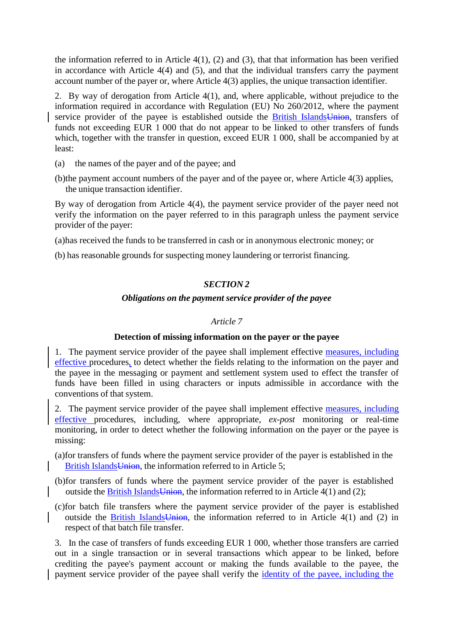the information referred to in Article  $4(1)$ , (2) and (3), that that information has been verified in accordance with Article 4(4) and (5), and that the individual transfers carry the payment account number of the payer or, where Article 4(3) applies, the unique transaction identifier.

2. By way of derogation from Article 4(1), and, where applicable, without prejudice to the information required in accordance with Regulation (EU) No 260/2012, where the payment service provider of the payee is established outside the British IslandsUnion, transfers of funds not exceeding EUR 1 000 that do not appear to be linked to other transfers of funds which, together with the transfer in question, exceed EUR 1 000, shall be accompanied by at least:

- (a) the names of the payer and of the payee; and
- (b)the payment account numbers of the payer and of the payee or, where Article 4(3) applies, the unique transaction identifier.

By way of derogation from Article 4(4), the payment service provider of the payer need not verify the information on the payer referred to in this paragraph unless the payment service provider of the payer:

(a)has received the funds to be transferred in cash or in anonymous electronic money; or

(b) has reasonable grounds for suspecting money laundering or terrorist financing.

## *SECTION 2*

## *Obligations on the payment service provider of the payee*

### *Article 7*

### **Detection of missing information on the payer or the payee**

1. The payment service provider of the payee shall implement effective measures, including effective procedures, to detect whether the fields relating to the information on the payer and the payee in the messaging or payment and settlement system used to effect the transfer of funds have been filled in using characters or inputs admissible in accordance with the conventions of that system.

2. The payment service provider of the payee shall implement effective measures, including effective procedures, including, where appropriate, *ex-post* monitoring or real-time monitoring, in order to detect whether the following information on the payer or the payee is missing:

(a)for transfers of funds where the payment service provider of the payer is established in the British Islands<del>Union</del>, the information referred to in Article 5;

(b)for transfers of funds where the payment service provider of the payer is established outside the British Islands Union, the information referred to in Article  $4(1)$  and  $(2)$ ;

(c)for batch file transfers where the payment service provider of the payer is established outside the British Islands<del>Union</del>, the information referred to in Article  $4(1)$  and  $(2)$  in respect of that batch file transfer.

3. In the case of transfers of funds exceeding EUR 1 000, whether those transfers are carried out in a single transaction or in several transactions which appear to be linked, before crediting the payee's payment account or making the funds available to the payee, the payment service provider of the payee shall verify the identity of the payee, including the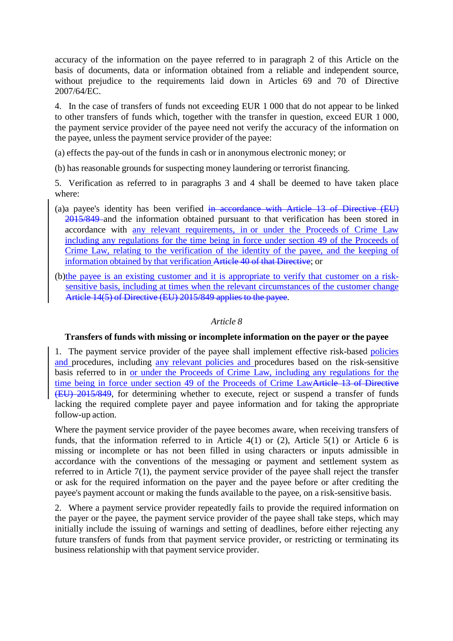accuracy of the information on the payee referred to in paragraph 2 of this Article on the basis of documents, data or information obtained from a reliable and independent source, without prejudice to the requirements laid down in Articles 69 and 70 of Directive 2007/64/EC.

4. In the case of transfers of funds not exceeding EUR 1 000 that do not appear to be linked to other transfers of funds which, together with the transfer in question, exceed EUR 1 000, the payment service provider of the payee need not verify the accuracy of the information on the payee, unless the payment service provider of the payee:

(a) effects the pay-out of the funds in cash or in anonymous electronic money; or

(b) has reasonable grounds for suspecting money laundering or terrorist financing.

5. Verification as referred to in paragraphs 3 and 4 shall be deemed to have taken place where:

- (a)a payee's identity has been verified in accordance with Article 13 of Directive (EU) 2015/849 and the information obtained pursuant to that verification has been stored in accordance with any relevant requirements, in or under the Proceeds of Crime Law including any regulations for the time being in force under section 49 of the Proceeds of Crime Law, relating to the verification of the identity of the payee, and the keeping of information obtained by that verification Article 40 of that Directive; or
- (b)the payee is an existing customer and it is appropriate to verify that customer on a risksensitive basis, including at times when the relevant circumstances of the customer change Article 14(5) of Directive (EU) 2015/849 applies to the payee.

### *Article 8*

### **Transfers of funds with missing or incomplete information on the payer or the payee**

1. The payment service provider of the payee shall implement effective risk-based policies and procedures, including any relevant policies and procedures based on the risk-sensitive basis referred to in or under the Proceeds of Crime Law, including any regulations for the time being in force under section 49 of the Proceeds of Crime LawArticle 13 of Directive (EU) 2015/849, for determining whether to execute, reject or suspend a transfer of funds lacking the required complete payer and payee information and for taking the appropriate follow-up action.

Where the payment service provider of the payee becomes aware, when receiving transfers of funds, that the information referred to in Article  $4(1)$  or  $(2)$ , Article  $5(1)$  or Article 6 is missing or incomplete or has not been filled in using characters or inputs admissible in accordance with the conventions of the messaging or payment and settlement system as referred to in Article 7(1), the payment service provider of the payee shall reject the transfer or ask for the required information on the payer and the payee before or after crediting the payee's payment account or making the funds available to the payee, on a risk-sensitive basis.

2. Where a payment service provider repeatedly fails to provide the required information on the payer or the payee, the payment service provider of the payee shall take steps, which may initially include the issuing of warnings and setting of deadlines, before either rejecting any future transfers of funds from that payment service provider, or restricting or terminating its business relationship with that payment service provider.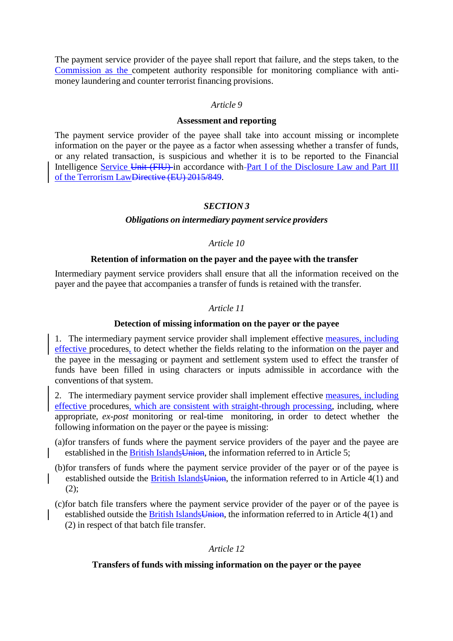The payment service provider of the payee shall report that failure, and the steps taken, to the Commission as the competent authority responsible for monitoring compliance with antimoney laundering and counter terrorist financing provisions.

### *Article 9*

### **Assessment and reporting**

The payment service provider of the payee shall take into account missing or incomplete information on the payer or the payee as a factor when assessing whether a transfer of funds, or any related transaction, is suspicious and whether it is to be reported to the Financial Intelligence Service Unit (FIU) in accordance with-Part I of the Disclosure Law and Part III of the Terrorism LawDirective (EU) 2015/849.

## *SECTION 3*

### *Obligations on intermediary payment service providers*

### *Article 10*

### **Retention of information on the payer and the payee with the transfer**

Intermediary payment service providers shall ensure that all the information received on the payer and the payee that accompanies a transfer of funds is retained with the transfer.

## *Article 11*

### **Detection of missing information on the payer or the payee**

1. The intermediary payment service provider shall implement effective measures, including effective procedures, to detect whether the fields relating to the information on the payer and the payee in the messaging or payment and settlement system used to effect the transfer of funds have been filled in using characters or inputs admissible in accordance with the conventions of that system.

2. The intermediary payment service provider shall implement effective measures, including effective procedures, which are consistent with straight-through processing, including, where appropriate, *ex-post* monitoring or real-time monitoring, in order to detect whether the following information on the payer or the payee is missing:

(a)for transfers of funds where the payment service providers of the payer and the payee are established in the British Islands<del>Union</del>, the information referred to in Article 5;

(b)for transfers of funds where the payment service provider of the payer or of the payee is established outside the British IslandsUnion, the information referred to in Article 4(1) and  $(2)$ :

(c)for batch file transfers where the payment service provider of the payer or of the payee is established outside the British Islands<del>Union</del>, the information referred to in Article 4(1) and (2) in respect of that batch file transfer.

## *Article 12*

## **Transfers of funds with missing information on the payer or the payee**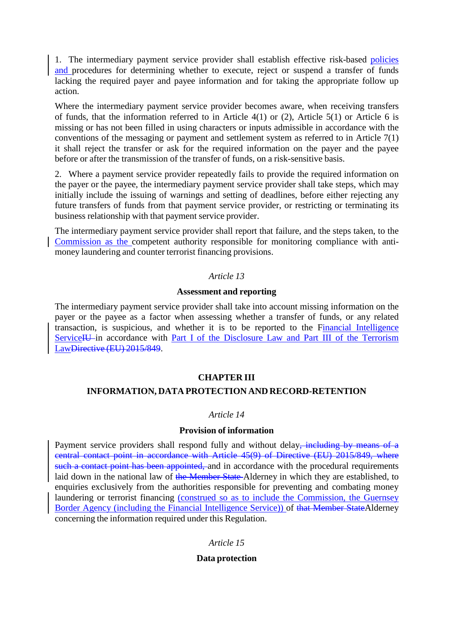1. The intermediary payment service provider shall establish effective risk-based policies and procedures for determining whether to execute, reject or suspend a transfer of funds lacking the required payer and payee information and for taking the appropriate follow up action.

Where the intermediary payment service provider becomes aware, when receiving transfers of funds, that the information referred to in Article  $4(1)$  or  $(2)$ , Article  $5(1)$  or Article 6 is missing or has not been filled in using characters or inputs admissible in accordance with the conventions of the messaging or payment and settlement system as referred to in Article 7(1) it shall reject the transfer or ask for the required information on the payer and the payee before or after the transmission of the transfer of funds, on a risk-sensitive basis.

2. Where a payment service provider repeatedly fails to provide the required information on the payer or the payee, the intermediary payment service provider shall take steps, which may initially include the issuing of warnings and setting of deadlines, before either rejecting any future transfers of funds from that payment service provider, or restricting or terminating its business relationship with that payment service provider.

The intermediary payment service provider shall report that failure, and the steps taken, to the Commission as the competent authority responsible for monitoring compliance with antimoney laundering and counter terrorist financing provisions.

## *Article 13*

### **Assessment and reporting**

The intermediary payment service provider shall take into account missing information on the payer or the payee as a factor when assessing whether a transfer of funds, or any related transaction, is suspicious, and whether it is to be reported to the Financial Intelligence Service<del>IU</del> in accordance with Part I of the Disclosure Law and Part III of the Terrorism Law<del>Directive (EU) 2015/849</del>.

### **CHAPTER III**

## **INFORMATION, DATA PROTECTION AND RECORD-RETENTION**

### *Article 14*

### **Provision of information**

Payment service providers shall respond fully and without delay, including by means of a central contact point in accordance with Article 45(9) of Directive (EU) 2015/849, where such a contact point has been appointed, and in accordance with the procedural requirements laid down in the national law of the Member State Alderney in which they are established, to enquiries exclusively from the authorities responsible for preventing and combating money laundering or terrorist financing (construed so as to include the Commission, the Guernsey Border Agency (including the Financial Intelligence Service)) of that Member StateAlderney concerning the information required under this Regulation.

## *Article 15*

### **Data protection**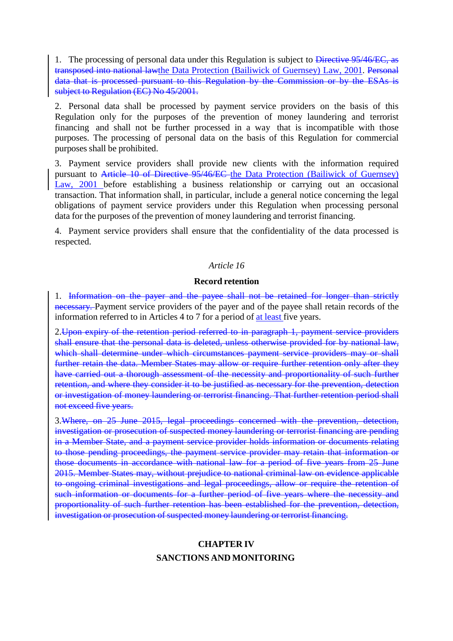1. The processing of personal data under this Regulation is subject to Directive 95/46/EC, as transposed into national lawthe Data Protection (Bailiwick of Guernsey) Law, 2001. Personal data that is processed pursuant to this Regulation by the Commission or by the ESAs is subject to Regulation (EC) No 45/2001.

2. Personal data shall be processed by payment service providers on the basis of this Regulation only for the purposes of the prevention of money laundering and terrorist financing and shall not be further processed in a way that is incompatible with those purposes. The processing of personal data on the basis of this Regulation for commercial purposes shall be prohibited.

3. Payment service providers shall provide new clients with the information required pursuant to Article 10 of Directive 95/46/EC the Data Protection (Bailiwick of Guernsey) Law, 2001 before establishing a business relationship or carrying out an occasional transaction. That information shall, in particular, include a general notice concerning the legal obligations of payment service providers under this Regulation when processing personal data for the purposes of the prevention of money laundering and terrorist financing.

4. Payment service providers shall ensure that the confidentiality of the data processed is respected.

### *Article 16*

#### **Record retention**

1. Information on the payer and the payee shall not be retained for longer than strictly necessary. Payment service providers of the payer and of the payee shall retain records of the information referred to in Articles 4 to 7 for a period of at least five years.

2.Upon expiry of the retention period referred to in paragraph 1, payment service providers shall ensure that the personal data is deleted, unless otherwise provided for by national law, which shall determine under which circumstances payment service providers may or shall further retain the data. Member States may allow or require further retention only after they have carried out a thorough assessment of the necessity and proportionality of such further retention, and where they consider it to be justified as necessary for the prevention, detection or investigation of money laundering or terrorist financing. That further retention period shall not exceed five years.

3.Where, on 25 June 2015, legal proceedings concerned with the prevention, detection, investigation or prosecution of suspected money laundering or terrorist financing are pending in a Member State, and a payment service provider holds information or documents relating to those pending proceedings, the payment service provider may retain that information or those documents in accordance with national law for a period of five years from 25 June 2015. Member States may, without prejudice to national criminal law on evidence applicable to ongoing criminal investigations and legal proceedings, allow or require the retention of such information or documents for a further period of five years where the necessity and proportionality of such further retention has been established for the prevention, detection, investigation or prosecution of suspected money laundering or terrorist financing.

# **CHAPTER IV SANCTIONS AND MONITORING**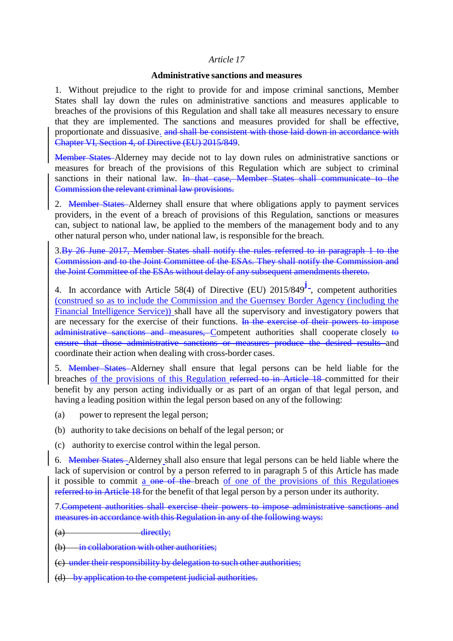### *Article 17*

### **Administrative sanctions and measures**

1. Without prejudice to the right to provide for and impose criminal sanctions, Member States shall lay down the rules on administrative sanctions and measures applicable to breaches of the provisions of this Regulation and shall take all measures necessary to ensure that they are implemented. The sanctions and measures provided for shall be effective, proportionate and dissuasive. and shall be consistent with those laid down in accordance with Chapter VI, Section 4, of Directive (EU) 2015/849.

Member States Alderney may decide not to lay down rules on administrative sanctions or measures for breach of the provisions of this Regulation which are subject to criminal sanctions in their national law. In that case, Member States shall communicate to the Commission the relevant criminal law provisions.

2. Member States Alderney shall ensure that where obligations apply to payment services providers, in the event of a breach of provisions of this Regulation, sanctions or measures can, subject to national law, be applied to the members of the management body and to any other natural person who, under national law, is responsible for the breach.

3.By 26 June 2017, Member States shall notify the rules referred to in paragraph 1 to the Commission and to the Joint Committee of the ESAs. They shall notify the Commission and the Joint Committee of the ESAs without delay of any subsequent amendments thereto.

4. In accordance with Article 58(4) of Directive (EU) 2015/849<sup>j</sup><sup>-</sup>, competent authorities (construed so as to include the Commission and the Guernsey Border Agency (including the Financial Intelligence Service)) shall have all the supervisory and investigatory powers that are necessary for the exercise of their functions. In the exercise of their powers to impose administrative sanctions and measures, Competent authorities shall cooperate closely to ensure that those administrative sanctions or measures produce the desired results and coordinate their action when dealing with cross-border cases.

5. Member States Alderney shall ensure that legal persons can be held liable for the breaches of the provisions of this Regulation referred to in Article 18 committed for their benefit by any person acting individually or as part of an organ of that legal person, and having a leading position within the legal person based on any of the following:

(a) power to represent the legal person;

(b) authority to take decisions on behalf of the legal person; or

(c) authority to exercise control within the legal person.

6. Member States Alderney shall also ensure that legal persons can be held liable where the lack of supervision or control by a person referred to in paragraph 5 of this Article has made it possible to commit a one of the breach of one of the provisions of this Regulationes referred to in Article 18 for the benefit of that legal person by a person under its authority.

7.Competent authorities shall exercise their powers to impose administrative sanctions and measures in accordance with this Regulation in any of the following ways:

 $\overline{a}$  directly;

(b) in collaboration with other authorities:

(c) under their responsibility by delegation to such other authorities;

(d) by application to the competent judicial authorities.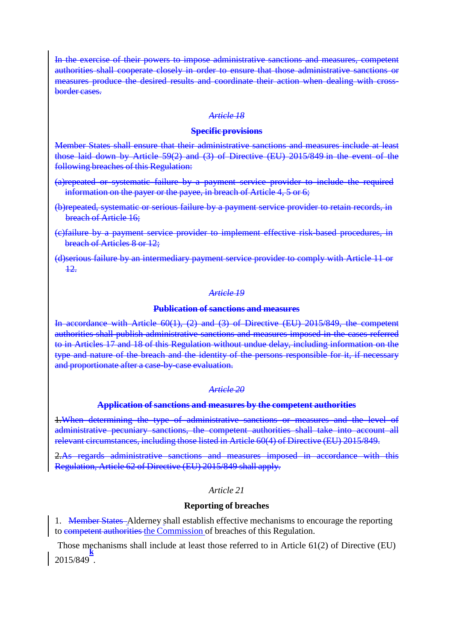In the exercise of their powers to impose administrative sanctions and measures, competent authorities shall cooperate closely in order to ensure that those administrative sanctions or measures produce the desired results and coordinate their action when dealing with crossborder cases.

#### *Article 18*

#### **Specific provisions**

Member States shall ensure that their administrative sanctions and measures include at least those laid down by Article 59(2) and (3) of Directive (EU) 2015/849 in the event of the following breaches of this Regulation:

- (a)repeated or systematic failure by a payment service provider to include the required information on the payer or the payee, in breach of Article 4, 5 or 6;
- (b)repeated, systematic or serious failure by a payment service provider to retain records, in breach of Article 16;
- (c)failure by a payment service provider to implement effective risk-based procedures, in breach of Articles 8 or 12;
- (d)serious failure by an intermediary payment service provider to comply with Article 11 or 12.

#### *Article 19*

#### **Publication of sanctions and measures**

In accordance with Article 60(1), (2) and (3) of Directive (EU) 2015/849, the competent authorities shall publish administrative sanctions and measures imposed in the cases referred to in Articles 17 and 18 of this Regulation without undue delay, including information on the type and nature of the breach and the identity of the persons responsible for it, if necessary and proportionate after a case-by-case evaluation.

#### *Article 20*

#### **Application of sanctions and measures by the competent authorities**

1.When determining the type of administrative sanctions or measures and the level of administrative pecuniary sanctions, the competent authorities shall take into account all relevant circumstances, including those listed in Article 60(4) of Directive (EU) 2015/849.

2.As regards administrative sanctions and measures imposed in accordance with this Regulation, Article 62 of Directive (EU) 2015/849 shall apply.

### *Article 21*

### **Reporting of breaches**

1. Member States Alderney shall establish effective mechanisms to encourage the reporting to competent authorities the Commission of breaches of this Regulation.

Those mechanisms shall include at least those referred to in Article 61(2) of Directive (EU) **k**  $2015/849$  .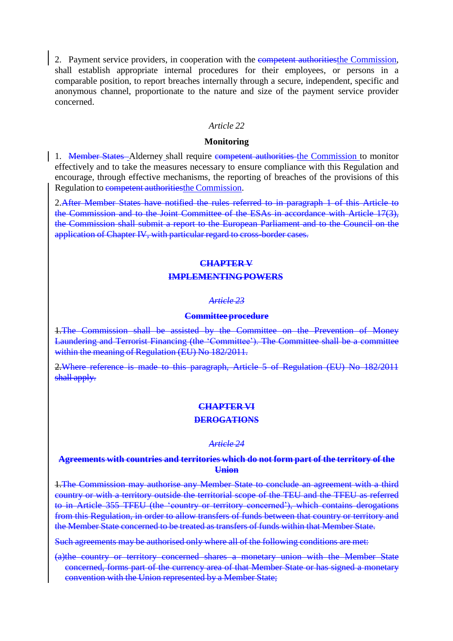2. Payment service providers, in cooperation with the competent authorities the Commission, shall establish appropriate internal procedures for their employees, or persons in a comparable position, to report breaches internally through a secure, independent, specific and anonymous channel, proportionate to the nature and size of the payment service provider concerned.

### *Article 22*

#### **Monitoring**

1. Member States Alderney shall require competent authorities the Commission to monitor effectively and to take the measures necessary to ensure compliance with this Regulation and encourage, through effective mechanisms, the reporting of breaches of the provisions of this Regulation to competent authoritiesthe Commission.

2.After Member States have notified the rules referred to in paragraph 1 of this Article to the Commission and to the Joint Committee of the ESAs in accordance with Article 17(3), the Commission shall submit a report to the European Parliament and to the Council on the application of Chapter IV, with particular regard to cross-border cases.

### **CHAPTER V IMPLEMENTINGPOWERS**

#### *Article 23*

#### **Committee procedure**

1.The Commission shall be assisted by the Committee on the Prevention of Money Laundering and Terrorist Financing (the 'Committee'). The Committee shall be a committee within the meaning of Regulation (EU) No 182/2011.

2.Where reference is made to this paragraph, Article 5 of Regulation (EU) No 182/2011 shall apply.

#### **CHAPTER VI**

#### **DEROGATIONS**

#### *Article 24*

### **Agreements with countries and territories which do not form part of the territory of the Union**

1.The Commission may authorise any Member State to conclude an agreement with a third country or with a territory outside the territorial scope of the TEU and the TFEU as referred to in Article 355 TFEU (the 'country or territory concerned'), which contains derogations from this Regulation, in order to allow transfers of funds between that country or territory and the Member State concerned to be treated as transfers of funds within that Member State.

Such agreements may be authorised only where all of the following conditions are met:

(a)the country or territory concerned shares a monetary union with the Member State concerned, forms part of the currency area of that Member State or has signed a monetary convention with the Union represented by a Member State;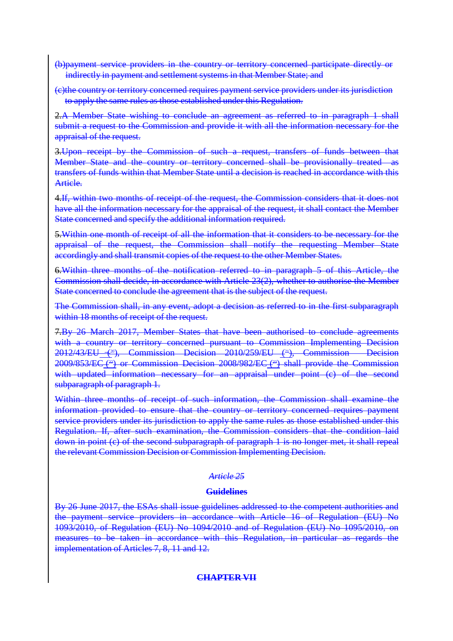(b)payment service providers in the country or territory concerned participate directly or indirectly in payment and settlement systems in that Member State; and

(c)the country or territory concerned requires payment service providers under its jurisdiction to apply the same rules as those established under this Regulation.

2.A Member State wishing to conclude an agreement as referred to in paragraph 1 shall submit a request to the Commission and provide it with all the information necessary for the appraisal of the request.

3.Upon receipt by the Commission of such a request, transfers of funds between that Member State and the country or territory concerned shall be provisionally treated as transfers of funds within that Member State until a decision is reached in accordance with this Article.

4.If, within two months of receipt of the request, the Commission considers that it does not have all the information necessary for the appraisal of the request, it shall contact the Member State concerned and specify the additional information required.

5.Within one month of receipt of all the information that it considers to be necessary for the appraisal of the request, the Commission shall notify the requesting Member State accordingly and shall transmit copies of the request to the other Member States.

6.Within three months of the notification referred to in paragraph 5 of this Article, the Commission shall decide, in accordance with Article 23(2), whether to authorise the Member State concerned to conclude the agreement that is the subject of the request.

The Commission shall, in any event, adopt a decision as referred to in the first subparagraph within 18 months of receipt of the request.

7.By 26 March 2017, Member States that have been authorised to conclude agreements with a country or territory concerned pursuant to Commission Implementing Decision 2012/43/EU (<sup>20</sup>), Commission Decision 2010/259/EU (<sup>21</sup>), Commission Decision 2009/853/EC (<sup>22</sup>) or Commission Decision 2008/982/EC (<sup>23</sup>) shall provide the Commission with updated information necessary for an appraisal under point (c) of the second subparagraph of paragraph 1.

Within three months of receipt of such information, the Commission shall examine the information provided to ensure that the country or territory concerned requires payment service providers under its jurisdiction to apply the same rules as those established under this Regulation. If, after such examination, the Commission considers that the condition laid down in point (c) of the second subparagraph of paragraph 1 is no longer met, it shall repeal the relevant Commission Decision or Commission Implementing Decision.

### *Article 25*

### **Guidelines**

By 26 June 2017, the ESAs shall issue guidelines addressed to the competent authorities and the payment service providers in accordance with Article 16 of Regulation (EU) No 1093/2010, of Regulation (EU) No 1094/2010 and of Regulation (EU) No 1095/2010, on measures to be taken in accordance with this Regulation, in particular as regards the implementation of Articles 7, 8, 11 and 12.

### **CHAPTER VII**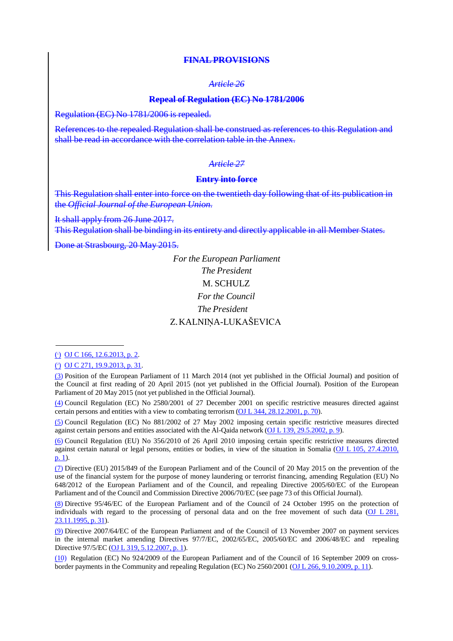#### **FINALPROVISIONS**

#### *Article 26*

#### **Repeal of Regulation (EC) No 1781/2006**

Regulation (EC) No 1781/2006 is repealed.

References to the repealed Regulation shall be construed as references to this Regulation and shall be read in accordance with the correlation table in the Annex.

#### *Article 27*

### **Entry into force**

This Regulation shall enter into force on the twentieth day following that of its publication in the *Official Journal of the European Union*.

It shall apply from 26 June 2017. This Regulation shall be binding in its entirety and directly applicable in all Member States.

Done at Strasbourg, 20 May 2015.

# *For the European Parliament The President* M. SCHULZ *For the Council The President* Z. KALNINA-LUKAŠEVICA

(5) Council Regulation (EC) No 881/2002 of 27 May 2002 imposing certain specific restrictive measures directed against certain persons and entities associated with the Al-Qaida network (OJ L 139, 29.5.2002, p. 9).

(6) Council Regulation (EU) No 356/2010 of 26 April 2010 imposing certain specific restrictive measures directed against certain natural or legal persons, entities or bodies, in view of the situation in Somalia (OJ L 105, 27.4.2010,  $p. 1$ ).

(7) Directive (EU) 2015/849 of the European Parliament and of the Council of 20 May 2015 on the prevention of the use of the financial system for the purpose of money laundering or terrorist financing, amending Regulation (EU) No 648/2012 of the European Parliament and of the Council, and repealing Directive 2005/60/EC of the European Parliament and of the Council and Commission Directive 2006/70/EC (see page 73 of this Official Journal).

(8) Directive 95/46/EC of the European Parliament and of the Council of 24 October 1995 on the protection of individuals with regard to the processing of personal data and on the free movement of such data (OJ L 281, 23.11.1995, p. 31).

(9) Directive 2007/64/EC of the European Parliament and of the Council of 13 November 2007 on payment services in the internal market amending Directives 97/7/EC, 2002/65/EC, 2005/60/EC and 2006/48/EC and repealing Directive 97/5/EC (OJ L 319, 5.12.2007, p. 1).

(10) Regulation (EC) No 924/2009 of the European Parliament and of the Council of 16 September 2009 on crossborder payments in the Community and repealing Regulation (EC) No 2560/2001 (OJ L 266, 9.10.2009, p. 11).

<sup>(1)</sup> OJ C 166, 12.6.2013, p. 2.

 $\overline{c}$  OJ C 271, 19.9.2013, p. 31.

<sup>(3)</sup> Position of the European Parliament of 11 March 2014 (not yet published in the Official Journal) and position of the Council at first reading of 20 April 2015 (not yet published in the Official Journal). Position of the European Parliament of 20 May 2015 (not yet published in the Official Journal).

<sup>(4)</sup> Council Regulation (EC) No 2580/2001 of 27 December 2001 on specific restrictive measures directed against certain persons and entities with a view to combating terrorism (OJ L 344, 28.12.2001, p. 70).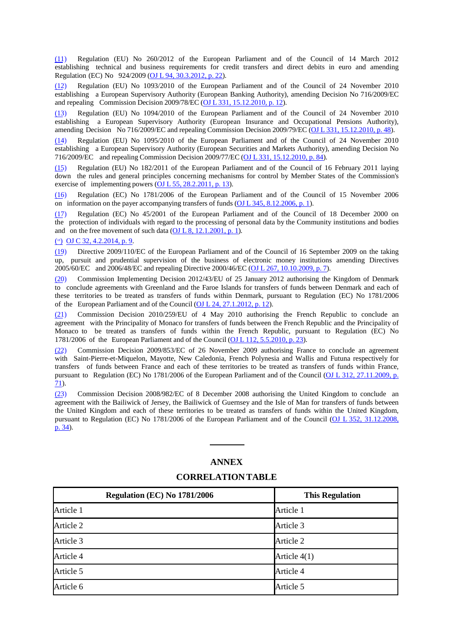(11) Regulation (EU) No 260/2012 of the European Parliament and of the Council of 14 March 2012 establishing technical and business requirements for credit transfers and direct debits in euro and amending Regulation (EC) No 924/2009 (OJ L 94, 30.3.2012, p. 22).

(12) Regulation (EU) No 1093/2010 of the European Parliament and of the Council of 24 November 2010 establishing a European Supervisory Authority (European Banking Authority), amending Decision No 716/2009/EC and repealing Commission Decision 2009/78/EC (OJ L 331, 15.12.2010, p. 12).

(13) Regulation (EU) No 1094/2010 of the European Parliament and of the Council of 24 November 2010 establishing a European Supervisory Authority (European Insurance and Occupational Pensions Authority), amending Decision No 716/2009/EC and repealing Commission Decision 2009/79/EC (OJ L 331, 15.12.2010, p. 48).

(14) Regulation (EU) No 1095/2010 of the European Parliament and of the Council of 24 November 2010 establishing a European Supervisory Authority (European Securities and Markets Authority), amending Decision No 716/2009/EC and repealing Commission Decision 2009/77/EC (OJ L 331, 15.12.2010, p. 84).

(15) Regulation (EU) No 182/2011 of the European Parliament and of the Council of 16 February 2011 laying down the rules and general principles concerning mechanisms for control by Member States of the Commission's exercise of implementing powers  $(OL L 55, 28.2.2011, p. 13)$ .

(16) Regulation (EC) No 1781/2006 of the European Parliament and of the Council of 15 November 2006 on information on the payer accompanying transfers of funds (OJ L 345, 8.12.2006, p. 1).

(17) Regulation (EC) No 45/2001 of the European Parliament and of the Council of 18 December 2000 on the protection of individuals with regard to the processing of personal data by the Community institutions and bodies and on the free movement of such data  $(OJ L 8, 12.1.2001, p. 1)$ .

#### $\overline{(}^{18})$  OJ C 32, 4.2.2014, p. 9.

(19) Directive 2009/110/EC of the European Parliament and of the Council of 16 September 2009 on the taking up, pursuit and prudential supervision of the business of electronic money institutions amending Directives 2005/60/EC and 2006/48/EC and repealing Directive 2000/46/EC (OJ L 267, 10.10.2009, p. 7).

(20) Commission Implementing Decision 2012/43/EU of 25 January 2012 authorising the Kingdom of Denmark to conclude agreements with Greenland and the Faroe Islands for transfers of funds between Denmark and each of these territories to be treated as transfers of funds within Denmark, pursuant to Regulation (EC) No 1781/2006 of the European Parliament and of the Council  $(OL L 24, 27.1.2012, p. 12)$ .

(21) Commission Decision 2010/259/EU of 4 May 2010 authorising the French Republic to conclude an agreement with the Principality of Monaco for transfers of funds between the French Republic and the Principality of Monaco to be treated as transfers of funds within the French Republic, pursuant to Regulation (EC) No 1781/2006 of the European Parliament and of the Council (OJ L 112, 5.5.2010, p. 23).

Commission Decision 2009/853/EC of 26 November 2009 authorising France to conclude an agreement with Saint-Pierre-et-Miquelon, Mayotte, New Caledonia, French Polynesia and Wallis and Futuna respectively for transfers of funds between France and each of these territories to be treated as transfers of funds within France, pursuant to Regulation (EC) No 1781/2006 of the European Parliament and of the Council (OJ L 312, 27.11.2009, p. 71).

(23) Commission Decision 2008/982/EC of 8 December 2008 authorising the United Kingdom to conclude an agreement with the Bailiwick of Jersey, the Bailiwick of Guernsey and the Isle of Man for transfers of funds between the United Kingdom and each of these territories to be treated as transfers of funds within the United Kingdom, pursuant to Regulation (EC) No 1781/2006 of the European Parliament and of the Council (OJ L 352, 31.12.2008, p. 34).

#### **ANNEX**

#### **CORRELATIONTABLE**

| <b>Regulation (EC) No 1781/2006</b> | <b>This Regulation</b> |
|-------------------------------------|------------------------|
| Article 1                           | Article 1              |
| Article 2                           | Article 3              |
| Article 3                           | Article 2              |
| Article 4                           | Article $4(1)$         |
| Article 5                           | Article 4              |
| Article 6                           | Article 5              |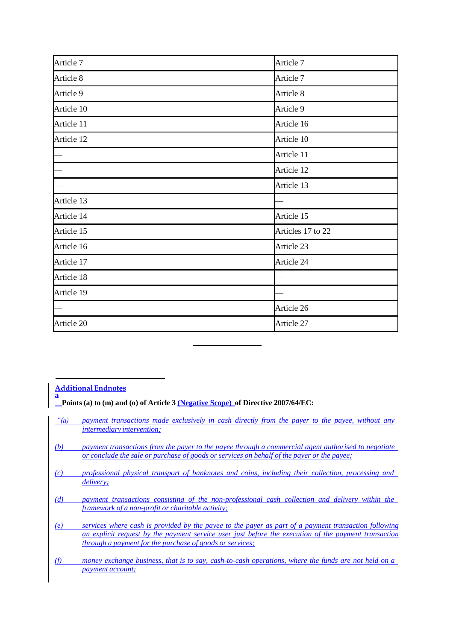| Article 7  | Article 7         |
|------------|-------------------|
| Article 8  | Article 7         |
| Article 9  | Article 8         |
| Article 10 | Article 9         |
| Article 11 | Article 16        |
| Article 12 | Article 10        |
|            | Article 11        |
|            | Article 12        |
|            | Article 13        |
| Article 13 |                   |
| Article 14 | Article 15        |
| Article 15 | Articles 17 to 22 |
| Article 16 | Article 23        |
| Article 17 | Article 24        |
| Article 18 |                   |
| Article 19 |                   |
|            | Article 26        |
| Article 20 | Article 27        |

#### **Additional Endnotes a**

 **Points (a) to (m) and (o) of Article 3 (Negative Scope) of Directive 2007/64/EC:**

- *"(a) payment transactions made exclusively in cash directly from the payer to the payee, without any intermediary intervention;*
- *(b) payment transactions from the payer to the payee through a commercial agent authorised to negotiate or conclude the sale or purchase of goods or services on behalf of the payer or the payee;*
- *(c) professional physical transport of banknotes and coins, including their collection, processing and delivery;*
- *(d) payment transactions consisting of the non-professional cash collection and delivery within the framework of a non-profit or charitable activity;*
- (e) services where cash is provided by the payee to the payer as part of a payment transaction following *an explicit request by the payment service user just before the execution of the payment transaction through a payment for the purchase of goods or services;*
- (f) money exchange business, that is to say, cash-to-cash operations, where the funds are not held on a *payment account;*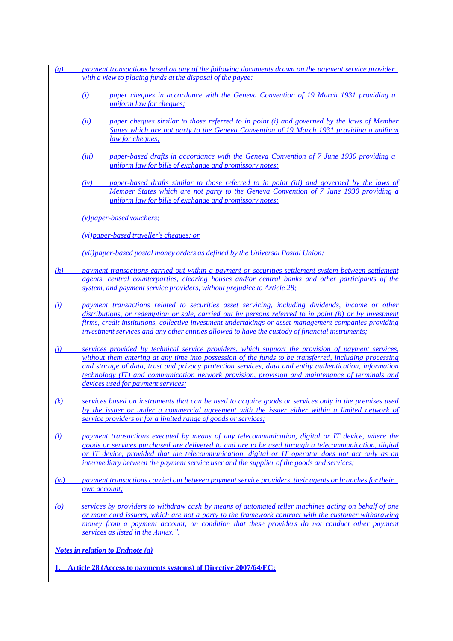- *(g) payment transactions based on any of the following documents drawn on the payment service provider with a view to placing funds at the disposal of the payee:*
	- *(i) paper cheques in accordance with the Geneva Convention of 19 March 1931 providing a uniform law for cheques;*
	- *(ii) paper cheques similar to those referred to in point (i) and governed by the laws of Member States which are not party to the Geneva Convention of 19 March 1931 providing a uniform law for cheques;*
	- *(iii) paper-based drafts in accordance with the Geneva Convention of 7 June 1930 providing a uniform law for bills of exchange and promissory notes;*
	- *(iv) paper-based drafts similar to those referred to in point (iii) and governed by the laws of Member States which are not party to the Geneva Convention of 7 June 1930 providing a uniform law for bills of exchange and promissory notes;*

*(v)paper-based vouchers;*

*(vi)paper-based traveller's cheques; or*

*(vii)paper-based postal money orders as defined by the Universal Postal Union;*

- *(h) payment transactions carried out within a payment or securities settlement system between settlement agents, central counterparties, clearing houses and/or central banks and other participants of the system, and payment service providers, without prejudice to Article 28;*
- *(i) payment transactions related to securities asset servicing, including dividends, income or other distributions, or redemption or sale, carried out by persons referred to in point (h) or by investment firms, credit institutions, collective investment undertakings or asset management companies providing investment services and any other entities allowed to have the custody of financial instruments;*
- *(j) services provided by technical service providers, which support the provision of payment services, without them entering at any time into possession of the funds to be transferred, including processing and storage of data, trust and privacy protection services, data and entity authentication, information technology (IT) and communication network provision, provision and maintenance of terminals and devices used for payment services;*
- (k) services based on instruments that can be used to acquire goods or services only in the premises used *by the issuer or under a commercial agreement with the issuer either within a limited network of service providers or for a limited range of goods or services;*
- *(l) payment transactions executed by means of any telecommunication, digital or IT device, where the goods or services purchased are delivered to and are to be used through a telecommunication, digital or IT device, provided that the telecommunication, digital or IT operator does not act only as an intermediary between the payment service user and the supplier of the goods and services;*
- *(m) payment transactions carried out between payment service providers, their agents or branches for their own account;*
- *(o) services by providers to withdraw cash by means of automated teller machines acting on behalf of one or more card issuers, which are not a party to the framework contract with the customer withdrawing money from a payment account, on condition that these providers do not conduct other payment services as listed in the Annex.".*

*Notes in relation to Endnote (a)*

**1. Article 28 (Access to payments systems) of Directive 2007/64/EC:**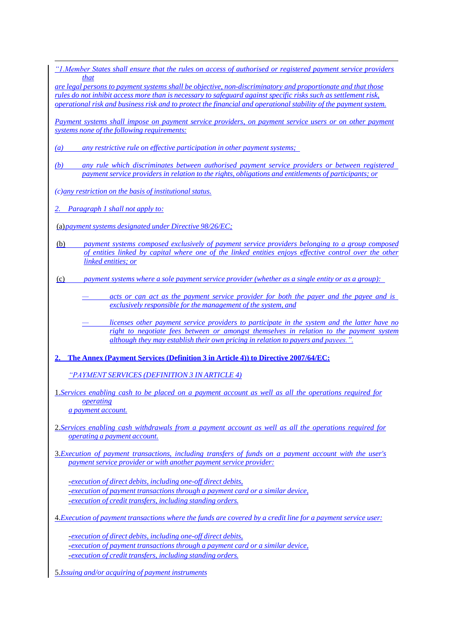*"1.Member States shall ensure that the rules on access of authorised or registered payment service providers that*

*are legal persons to payment systems shall be objective, non-discriminatory and proportionate and that those* rules do not inhibit access more than is necessary to safeguard against specific risks such as settlement risk, operational risk and business risk and to protect the financial and operational stability of the payment system.

*Payment systems shall impose on payment service providers, on payment service users or on other payment systems none of the following requirements:*

- *(a) any restrictive rule on effective participation in other payment systems;*
- *(b) any rule which discriminates between authorised payment service providers or between registered payment service providers in relation to the rights, obligations and entitlements of participants; or*
- *(c)any restriction on the basis of institutional status.*
- *2. Paragraph 1 shall not apply to:*

(a)*payment systems designated under Directive 98/26/EC;*

- (b) *payment systems composed exclusively of payment service providers belonging to a group composed of entities linked by capital where one of the linked entities enjoys effective control over the other linked entities; or*
- (c) *payment systems where a sole payment service provider (whether as a single entity or as a group):*
	- *— acts or can act as the payment service provider for both the payer and the payee and is exclusively responsible for the management of the system, and*
	- *— licenses other payment service providers to participate in the system and the latter have no right to negotiate fees between or amongst themselves in relation to the payment system although they may establish their own pricing in relation to payers and payees.".*

#### **2. The Annex (Payment Services (Definition 3 in Article 4)) to Directive 2007/64/EC:**

*"PAYMENT SERVICES (DEFINITION 3 IN ARTICLE 4)*

1. Services enabling cash to be placed on a payment account as well as all the operations required for *operating a payment account.*

2.*Services enabling cash withdrawals from a payment account as well as all the operations required for operating a payment account.*

3.*Execution of payment transactions, including transfers of funds on a payment account with the user's payment service provider or with another payment service provider:*

-*execution of direct debits, including one-off direct debits,* -*execution of payment transactions through a payment card or a similar device,* -*execution of credit transfers, including standing orders.*

4. Execution of payment transactions where the funds are covered by a credit line for a payment service user:

-*execution of direct debits, including one-off direct debits,* -*execution of payment transactions through a payment card or a similar device,* -*execution of credit transfers, including standing orders.*

5.*Issuing and/or acquiring of payment instruments*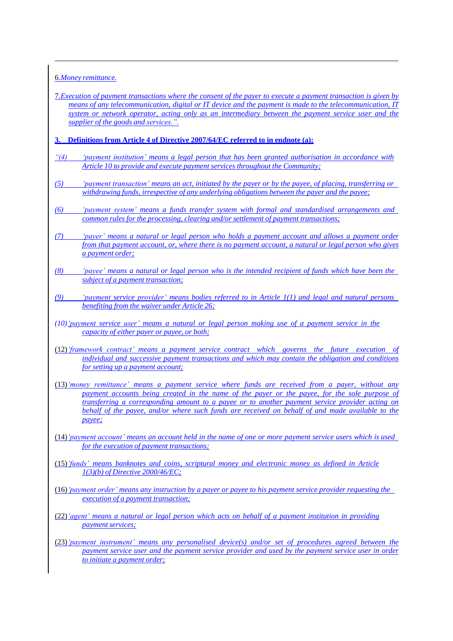#### 6.*Money remittance.*

7.*Execution of payment transactions where the consent of the payer to execute a payment transaction is given by means of any telecommunication, digital or IT device and the payment is made to the telecommunication, IT system or network operator, acting only as an intermediary between the payment service user and the supplier of the goods and services.".*

#### **3. Definitions from Article 4 of Directive 2007/64/EC referred to in endnote (a):**

- *"(4) 'payment institution' means a legal person that has been granted authorisation in accordance with Article 10 to provide and execute payment services throughout the Community;*
- (5) *payment transaction' means an act, initiated by the payer or by the payee, of placing, transferring or withdrawing funds, irrespective of any underlying obligations between the payer and the payee;*
- *(6) 'payment system' means a funds transfer system with formal and standardised arrangements and common rules for the processing, clearing and/or settlement of payment transactions;*
- *(7) 'payer' means a natural or legal person who holds a payment account and allows a payment order from that payment account, or, where there is no payment account, a natural or legal person who gives a payment order;*
- (8) 'payee' means a natural or legal person who is the intended recipient of funds which have been the *subject of a payment transaction;*
- *(9) 'payment service provider' means bodies referred to in Article 1(1) and legal and natural persons benefiting from the waiver under Article 26;*
- *(10)'payment service user' means a natural or legal person making use of a payment service in the capacity of either payer or payee, or both;*
- (12)*'framework contract' means a payment service contract which governs the future execution of individual and successive payment transactions and which may contain the obligation and conditions for setting up a payment account;*
- (13)*'money remittance' means a payment service where funds are received from a payer, without any payment accounts being created in the name of the payer or the payee, for the sole purpose of transferring a corresponding amount to a payee or to another payment service provider acting on behalf of the payee, and/or where such funds are received on behalf of and made available to the payee;*
- $(14)$  'payment account' means an account held in the name of one or more payment service users which is used *for the execution of payment transactions;*
- (15)*'funds' means banknotes and coins, scriptural money and electronic money as defined in Article 1(3)(b) of Directive 2000/46/EC;*
- (16)*'payment order' means any instruction by a payer or payee to his payment service provider requesting the execution of a payment transaction;*
- (22)*'agent' means a natural or legal person which acts on behalf of a payment institution in providing payment services;*
- (23)*'payment instrument' means any personalised device(s) and/or set of procedures agreed between the payment service user and the payment service provider and used by the payment service user in order to initiate a payment order;*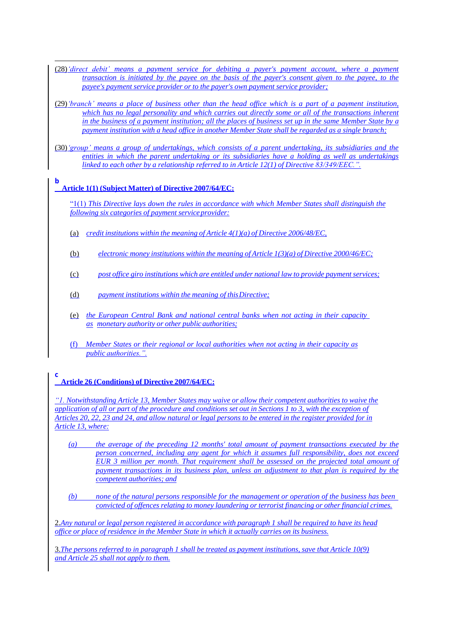(28)*'direct debit' means a payment service for debiting a payer's payment account, where a payment* transaction is initiated by the payee on the basis of the payer's consent given to the payee, to the *payee's payment service provider or to the payer's own payment service provider;*

(29) 'branch' means a place of business other than the head office which is a part of a payment institution, *which has no legal personality and which carries out directly some or all of the transactions inherent* in the business of a payment institution; all the places of business set up in the same Member State by a *payment institution with a head office in another Member State shall be regarded as a single branch;*

(30)*'group' means a group of undertakings, which consists of a parent undertaking, its subsidiaries and the entities in which the parent undertaking or its subsidiaries have a holding as well as undertakings linked to each other by a relationship referred to in Article 12(1) of Directive 83/349/EEC.".*

#### **b Article 1(1) (Subject Matter) of Directive 2007/64/EC:**

"1(1) *This Directive lays down the rules in accordance with which Member States shall distinguish the following six categories of payment serviceprovider:*

- (a) *credit institutions within the meaning of Article 4(1)(a) of Directive 2006/48/EC,*
- (b) *electronic money institutions within the meaning of Article 1(3)(a) of Directive 2000/46/EC;*
- (c) *post office giro institutions which are entitled under national law to provide payment services;*
- (d) *payment institutions within the meaning of thisDirective;*
- (e) *the European Central Bank and national central banks when not acting in their capacity as monetary authority or other publicauthorities;*
- (f) *Member States or their regional or local authorities when not acting in their capacity as public authorities.".*

#### **c Article 26 (Conditions) of Directive 2007/64/EC:**

*"1. Notwithstanding Article 13, Member States may waive or allow their competent authorities to waive the* application of all or part of the procedure and conditions set out in Sections  $1$  to 3, with the exception of Articles 20, 22, 23 and 24, and allow natural or legal persons to be entered in the register provided for in *Article 13, where:*

- *(a) the average of the preceding 12 months' total amount of payment transactions executed by the person concerned, including any agent for which it assumes full responsibility, does not exceed EUR 3 million per month. That requirement shall be assessed on the projected total amount of payment transactions in its business plan, unless an adjustment to that plan is required by the competent authorities; and*
- *(b) none of the natural persons responsible for the management or operation of the business has been convicted of offences relating to money laundering or terrorist financing or other financial crimes.*

2. Any natural or legal person registered in accordance with paragraph 1 shall be required to have its head *office or place of residence in the Member State in which it actually carries on its business.*

3. The persons referred to in paragraph 1 shall be treated as payment institutions, save that Article  $10(9)$ *and Article 25 shall not apply to them.*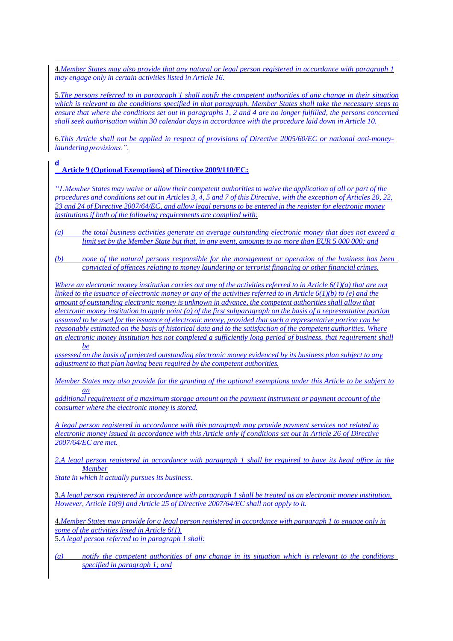4. Member States may also provide that any natural or legal person registered in accordance with paragraph 1 *may engage only in certain activities listed in Article 16.*

5. The persons referred to in paragraph 1 shall notify the competent authorities of any change in their situation which is relevant to the conditions specified in that paragraph. Member States shall take the necessary steps to *ensure that where the conditions set out in paragraphs 1, 2 and 4 are no longer fulfilled, the persons concerned* shall seek authorisation within 30 calendar days in accordance with the procedure laid down in Article 10.

6.*This Article shall not be applied in respect of provisions of Directive 2005/60/EC or national anti-moneylaundering provisions.".*

**d Article 9 (Optional Exemptions) of Directive 2009/110/EC:**

"I.Member States may waive or allow their competent authorities to waive the application of all or part of the procedures and conditions set out in Articles 3, 4, 5 and 7 of this Directive, with the exception of Articles 20, 22, 23 and 24 of Directive 2007/64/EC, and allow legal persons to be entered in the register for electronic money *institutions if both of the following requirements are complied with:*

- *(a) the total business activities generate an average outstanding electronic money that does not exceed a* limit set by the Member State but that, in any event, amounts to no more than EUR 5 000 000; and
- *(b) none of the natural persons responsible for the management or operation of the business has been convicted of offences relating to money laundering or terrorist financing or other financial crimes.*

Where an electronic money institution carries out any of the activities referred to in Article  $6(1)(a)$  that are not linked to the issuance of electronic money or any of the activities referred to in Article  $6(1)(b)$  to (e) and the *amount of outstanding electronic money is unknown in advance, the competent authorities shall allow that* electronic money institution to apply point (a) of the first subparagraph on the basis of a representative portion assumed to be used for the issuance of electronic money, provided that such a representative portion can be reasonably estimated on the basis of historical data and to the satisfaction of the competent authorities. Where *an electronic money institution has not completed a sufficiently long period of business, that requirement shall be*

assessed on the basis of projected outstanding electronic money evidenced by its business plan subject to any *adjustment to that plan having been required by the competent authorities.*

Member States may also provide for the granting of the optional exemptions under this Article to be subject to *an*

*additional requirement of a maximum storage amount on the payment instrument or payment account of the consumer where the electronic money is stored.*

*A legal person registered in accordance with this paragraph may provide payment services not related to* electronic money issued in accordance with this Article only if conditions set out in Article 26 of Directive *2007/64/EC are met.*

2.A legal person registered in accordance with paragraph 1 shall be required to have its head office in the *Member*

*State in which it actually pursues its business.*

3.*A legal person registered in accordance with paragraph 1 shall be treated as an electronic money institution. However, Article 10(9) and Article 25 of Directive 2007/64/EC shall not apply to it.*

4. Member States may provide for a legal person registered in accordance with paragraph 1 to engage only in *some of the activities listed in Article 6(1).* 5.*A legal person referred to in paragraph 1 shall:*

*(a) notify the competent authorities of any change in its situation which is relevant to the conditions specified in paragraph 1; and*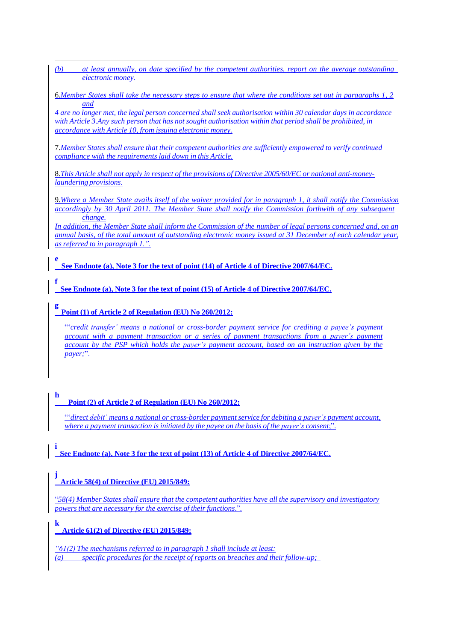- *(b) at least annually, on date specified by the competent authorities, report on the average outstanding electronic money.*
- 6. Member States shall take the necessary steps to ensure that where the conditions set out in paragraphs 1, 2 *and*

4 are no longer met, the legal person concerned shall seek authorisation within 30 calendar days in accordance with Article 3.Any such person that has not sought authorisation within that period shall be prohibited, in *accordance with Article 10, from issuing electronic money.*

7.*Member States shall ensure that their competent authorities are sufficiently empowered to verify continued compliance with the requirements laid down in this Article.*

8.*This Article shall not apply in respect of the provisions of Directive 2005/60/EC or national anti-moneylaundering provisions.*

9. Where a Member State avails itself of the waiver provided for in paragraph 1, it shall notify the Commission *accordingly by 30 April 2011. The Member State shall notify the Commission forthwith of any subsequent change.*

In addition, the Member State shall inform the Commission of the number of legal persons concerned and, on an annual basis, of the total amount of outstanding electronic money issued at 31 December of each calendar year, *as referred to in paragraph 1.".*

**e See Endnote (a), Note 3 for the text of point (14) of Article 4 of Directive 2007/64/EC.**

**f See Endnote (a), Note 3 for the text of point (15) of Article 4 of Directive 2007/64/EC.**

**g Point (1) of Article 2 of Regulation (EU) No 260/2012:**

"'*credit transfer' means a national or cross-border payment service for crediting a payee's payment account with a payment transaction or a series of payment transactions from a payer's payment account by the PSP which holds the payer's payment account, based on an instruction given by the payer;*".

**h Point (2) of Article 2 of Regulation (EU) No 260/2012:**

"'*direct debit' means a national or cross-border payment service for debiting a payer's payment account, where a payment transaction is initiated by the payee on the basis of the payer's consent*;".

**i See Endnote (a), Note 3 for the text of point (13) of Article 4 of Directive 2007/64/EC.**

**j Article 58(4) of Directive (EU) 2015/849:**

"*58(4) Member States shall ensure that the competent authorities have all the supervisory and investigatory powers that are necessary for the exercise of their functions*.".

**k Article 61(2) of Directive (EU) 2015/849:**

*"61(2) The mechanisms referred to in paragraph 1 shall include at least: (a) specific procedures for the receipt of reports on breaches and their follow-up;*